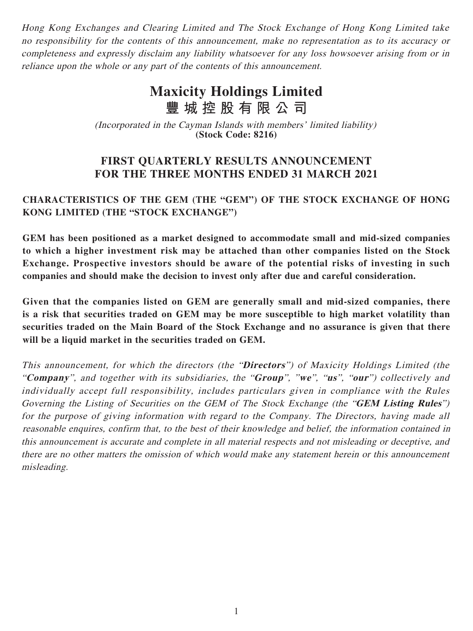Hong Kong Exchanges and Clearing Limited and The Stock Exchange of Hong Kong Limited take no responsibility for the contents of this announcement, make no representation as to its accuracy or completeness and expressly disclaim any liability whatsoever for any loss howsoever arising from or in reliance upon the whole or any part of the contents of this announcement.

# **Maxicity Holdings Limited 豐城控股有限公司**

(Incorporated in the Cayman Islands with members' limited liability) **(Stock Code: 8216)**

# **FIRST QUARTERLY RESULTS ANNOUNCEMENT FOR THE THREE MONTHS ENDED 31 MARCH 2021**

# **CHARACTERISTICS OF THE GEM (THE "GEM") OF THE STOCK EXCHANGE OF HONG KONG LIMITED (THE "STOCK EXCHANGE")**

**GEM has been positioned as a market designed to accommodate small and mid-sized companies to which a higher investment risk may be attached than other companies listed on the Stock Exchange. Prospective investors should be aware of the potential risks of investing in such companies and should make the decision to invest only after due and careful consideration.**

**Given that the companies listed on GEM are generally small and mid-sized companies, there is a risk that securities traded on GEM may be more susceptible to high market volatility than securities traded on the Main Board of the Stock Exchange and no assurance is given that there will be a liquid market in the securities traded on GEM.**

This announcement, for which the directors (the "**Directors**") of Maxicity Holdings Limited (the "**Company**", and together with its subsidiaries, the "**Group**", "**we**", "**us**", "**our**") collectively and individually accept full responsibility, includes particulars given in compliance with the Rules Governing the Listing of Securities on the GEM of The Stock Exchange (the "**GEM Listing Rules**") for the purpose of giving information with regard to the Company. The Directors, having made all reasonable enquires, confirm that, to the best of their knowledge and belief, the information contained in this announcement is accurate and complete in all material respects and not misleading or deceptive, and there are no other matters the omission of which would make any statement herein or this announcement misleading.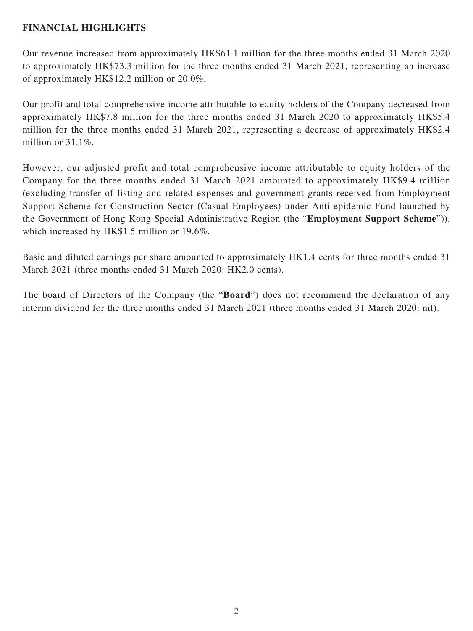## **FINANCIAL HIGHLIGHTS**

Our revenue increased from approximately HK\$61.1 million for the three months ended 31 March 2020 to approximately HK\$73.3 million for the three months ended 31 March 2021, representing an increase of approximately HK\$12.2 million or 20.0%.

Our profit and total comprehensive income attributable to equity holders of the Company decreased from approximately HK\$7.8 million for the three months ended 31 March 2020 to approximately HK\$5.4 million for the three months ended 31 March 2021, representing a decrease of approximately HK\$2.4 million or 31.1%.

However, our adjusted profit and total comprehensive income attributable to equity holders of the Company for the three months ended 31 March 2021 amounted to approximately HK\$9.4 million (excluding transfer of listing and related expenses and government grants received from Employment Support Scheme for Construction Sector (Casual Employees) under Anti-epidemic Fund launched by the Government of Hong Kong Special Administrative Region (the "**Employment Support Scheme**")), which increased by HK\$1.5 million or 19.6%.

Basic and diluted earnings per share amounted to approximately HK1.4 cents for three months ended 31 March 2021 (three months ended 31 March 2020: HK2.0 cents).

The board of Directors of the Company (the "**Board**") does not recommend the declaration of any interim dividend for the three months ended 31 March 2021 (three months ended 31 March 2020: nil).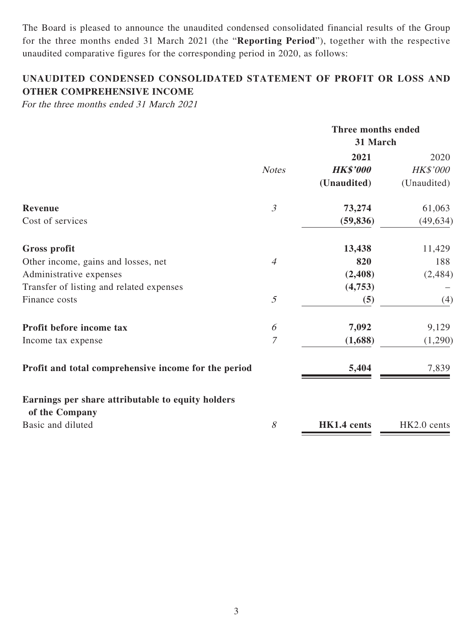The Board is pleased to announce the unaudited condensed consolidated financial results of the Group for the three months ended 31 March 2021 (the "**Reporting Period**"), together with the respective unaudited comparative figures for the corresponding period in 2020, as follows:

# **UNAUDITED CONDENSED CONSOLIDATED STATEMENT OF PROFIT OR LOSS AND OTHER COMPREHENSIVE INCOME**

For the three months ended 31 March 2021

|                                                      |                | Three months ended<br>31 March |             |  |  |
|------------------------------------------------------|----------------|--------------------------------|-------------|--|--|
|                                                      |                | 2021                           | 2020        |  |  |
|                                                      | <b>Notes</b>   | <b>HK\$'000</b>                | HK\$'000    |  |  |
|                                                      |                | (Unaudited)                    | (Unaudited) |  |  |
| Revenue                                              | $\mathfrak{Z}$ | 73,274                         | 61,063      |  |  |
| Cost of services                                     |                | (59, 836)                      | (49, 634)   |  |  |
| <b>Gross profit</b>                                  |                | 13,438                         | 11,429      |  |  |
| Other income, gains and losses, net                  | $\overline{4}$ | 820                            | 188         |  |  |
| Administrative expenses                              |                | (2, 408)                       | (2, 484)    |  |  |
| Transfer of listing and related expenses             |                | (4,753)                        |             |  |  |
| Finance costs                                        | 5              | (5)                            | (4)         |  |  |
| Profit before income tax                             | 6              | 7,092                          | 9,129       |  |  |
| Income tax expense                                   | 7              | (1,688)                        | (1,290)     |  |  |
| Profit and total comprehensive income for the period |                | 5,404                          | 7,839       |  |  |
| Earnings per share attributable to equity holders    |                |                                |             |  |  |
| of the Company                                       |                |                                |             |  |  |
| Basic and diluted                                    | 8              | HK1.4 cents                    | HK2.0 cents |  |  |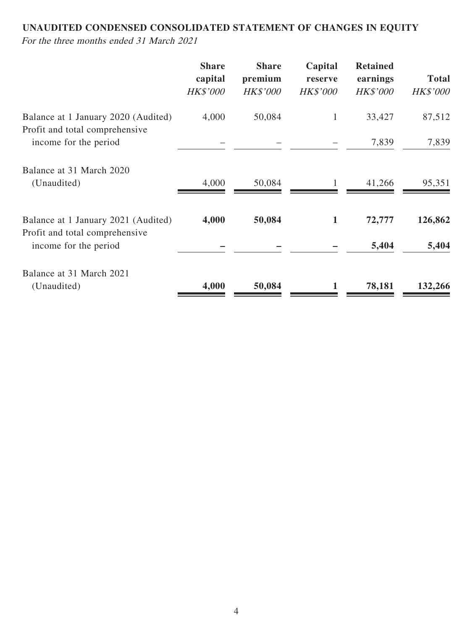# **UNAUDITED CONDENSED CONSOLIDATED STATEMENT OF CHANGES IN EQUITY**

For the three months ended 31 March 2021

|                                                                       | <b>Share</b><br>capital<br><b>HK\$'000</b> | <b>Share</b><br>premium<br><b>HK\$'000</b> | Capital<br>reserve<br><b>HK\$'000</b> | <b>Retained</b><br>earnings<br><b>HK\$'000</b> | <b>Total</b><br><b>HK\$'000</b> |
|-----------------------------------------------------------------------|--------------------------------------------|--------------------------------------------|---------------------------------------|------------------------------------------------|---------------------------------|
| Balance at 1 January 2020 (Audited)<br>Profit and total comprehensive | 4,000                                      | 50,084                                     | $\mathbf{1}$                          | 33,427                                         | 87,512                          |
| income for the period                                                 |                                            |                                            |                                       | 7,839                                          | 7,839                           |
| Balance at 31 March 2020                                              |                                            |                                            |                                       |                                                |                                 |
| (Unaudited)                                                           | 4,000                                      | 50,084                                     |                                       | 41,266                                         | 95,351                          |
| Balance at 1 January 2021 (Audited)<br>Profit and total comprehensive | 4,000                                      | 50,084                                     | 1                                     | 72,777                                         | 126,862                         |
| income for the period                                                 |                                            |                                            |                                       | 5,404                                          | 5,404                           |
| Balance at 31 March 2021                                              |                                            |                                            |                                       |                                                |                                 |
| (Unaudited)                                                           | 4,000                                      | 50,084                                     |                                       | 78,181                                         | 132,266                         |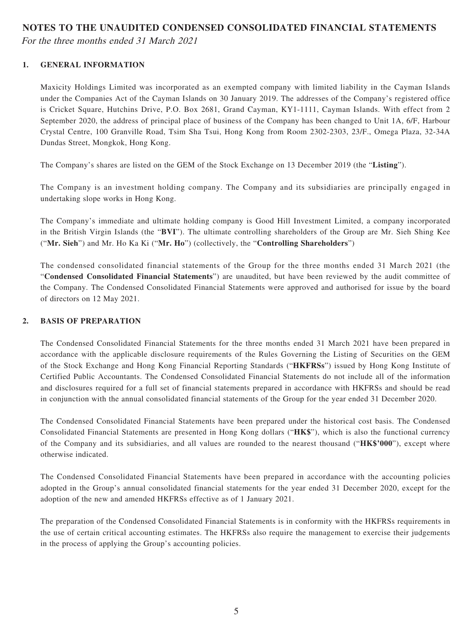#### **NOTES TO THE UNAUDITED CONDENSED CONSOLIDATED FINANCIAL STATEMENTS**

For the three months ended 31 March 2021

#### **1. GENERAL INFORMATION**

Maxicity Holdings Limited was incorporated as an exempted company with limited liability in the Cayman Islands under the Companies Act of the Cayman Islands on 30 January 2019. The addresses of the Company's registered office is Cricket Square, Hutchins Drive, P.O. Box 2681, Grand Cayman, KY1-1111, Cayman Islands. With effect from 2 September 2020, the address of principal place of business of the Company has been changed to Unit 1A, 6/F, Harbour Crystal Centre, 100 Granville Road, Tsim Sha Tsui, Hong Kong from Room 2302-2303, 23/F., Omega Plaza, 32-34A Dundas Street, Mongkok, Hong Kong.

The Company's shares are listed on the GEM of the Stock Exchange on 13 December 2019 (the "**Listing**").

The Company is an investment holding company. The Company and its subsidiaries are principally engaged in undertaking slope works in Hong Kong.

The Company's immediate and ultimate holding company is Good Hill Investment Limited, a company incorporated in the British Virgin Islands (the "**BVI**"). The ultimate controlling shareholders of the Group are Mr. Sieh Shing Kee ("**Mr. Sieh**") and Mr. Ho Ka Ki ("**Mr. Ho**") (collectively, the "**Controlling Shareholders**")

The condensed consolidated financial statements of the Group for the three months ended 31 March 2021 (the "**Condensed Consolidated Financial Statements**") are unaudited, but have been reviewed by the audit committee of the Company. The Condensed Consolidated Financial Statements were approved and authorised for issue by the board of directors on 12 May 2021.

#### **2. BASIS OF PREPARATION**

The Condensed Consolidated Financial Statements for the three months ended 31 March 2021 have been prepared in accordance with the applicable disclosure requirements of the Rules Governing the Listing of Securities on the GEM of the Stock Exchange and Hong Kong Financial Reporting Standards ("**HKFRSs**") issued by Hong Kong Institute of Certified Public Accountants. The Condensed Consolidated Financial Statements do not include all of the information and disclosures required for a full set of financial statements prepared in accordance with HKFRSs and should be read in conjunction with the annual consolidated financial statements of the Group for the year ended 31 December 2020.

The Condensed Consolidated Financial Statements have been prepared under the historical cost basis. The Condensed Consolidated Financial Statements are presented in Hong Kong dollars ("**HK\$**"), which is also the functional currency of the Company and its subsidiaries, and all values are rounded to the nearest thousand ("**HK\$'000**"), except where otherwise indicated.

The Condensed Consolidated Financial Statements have been prepared in accordance with the accounting policies adopted in the Group's annual consolidated financial statements for the year ended 31 December 2020, except for the adoption of the new and amended HKFRSs effective as of 1 January 2021.

The preparation of the Condensed Consolidated Financial Statements is in conformity with the HKFRSs requirements in the use of certain critical accounting estimates. The HKFRSs also require the management to exercise their judgements in the process of applying the Group's accounting policies.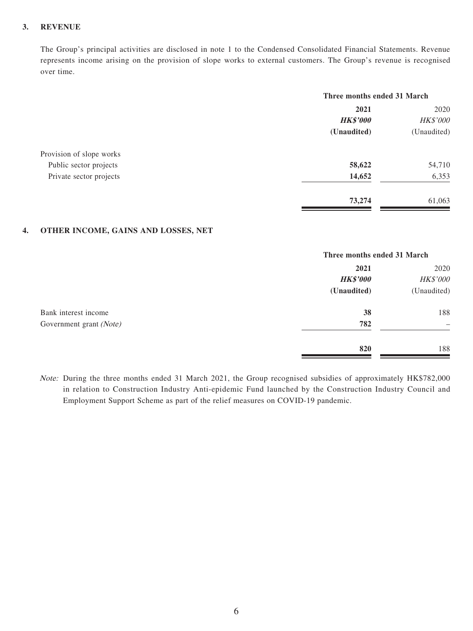#### **3. REVENUE**

The Group's principal activities are disclosed in note 1 to the Condensed Consolidated Financial Statements. Revenue represents income arising on the provision of slope works to external customers. The Group's revenue is recognised over time.

|                          | Three months ended 31 March |             |
|--------------------------|-----------------------------|-------------|
|                          | 2021                        | 2020        |
|                          | <b>HK\$'000</b>             | HK\$'000    |
|                          | (Unaudited)                 | (Unaudited) |
| Provision of slope works |                             |             |
| Public sector projects   | 58,622                      | 54,710      |
| Private sector projects  | 14,652                      | 6,353       |
|                          | 73,274                      | 61,063      |
|                          |                             |             |

#### **4. OTHER INCOME, GAINS AND LOSSES, NET**

|                         |                 | Three months ended 31 March |  |  |
|-------------------------|-----------------|-----------------------------|--|--|
|                         | 2021            | 2020<br>HK\$'000            |  |  |
|                         | <b>HK\$'000</b> |                             |  |  |
|                         | (Unaudited)     | (Unaudited)                 |  |  |
| Bank interest income    | 38              | 188                         |  |  |
| Government grant (Note) | 782             | -                           |  |  |
|                         | 820             | 188                         |  |  |

Note: During the three months ended 31 March 2021, the Group recognised subsidies of approximately HK\$782,000 in relation to Construction Industry Anti-epidemic Fund launched by the Construction Industry Council and Employment Support Scheme as part of the relief measures on COVID-19 pandemic.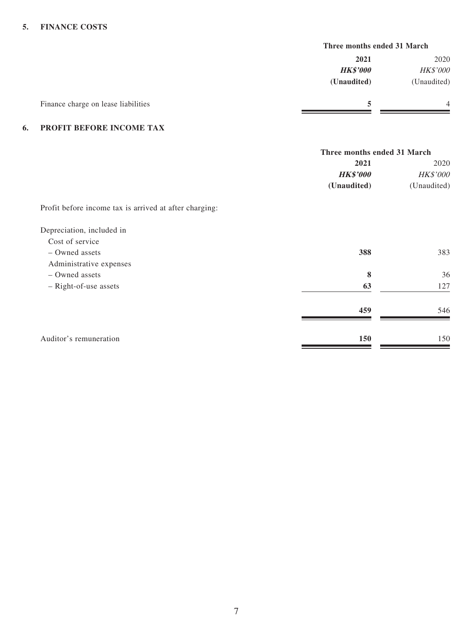#### **5. FINANCE COSTS**

|                                     | Three months ended 31 March |                 |  |
|-------------------------------------|-----------------------------|-----------------|--|
|                                     | 2021                        | 2020            |  |
|                                     | <b>HK\$'000</b>             | <b>HK\$'000</b> |  |
|                                     | (Unaudited)                 | (Unaudited)     |  |
| Finance charge on lease liabilities |                             | 4               |  |

#### **6. PROFIT BEFORE INCOME TAX**

|                                                        | Three months ended 31 March |                 |
|--------------------------------------------------------|-----------------------------|-----------------|
|                                                        | 2021                        | 2020            |
|                                                        | <b>HK\$'000</b>             | <b>HK\$'000</b> |
|                                                        | (Unaudited)                 | (Unaudited)     |
| Profit before income tax is arrived at after charging: |                             |                 |
| Depreciation, included in                              |                             |                 |
| Cost of service                                        |                             |                 |
| - Owned assets                                         | 388                         | 383             |
| Administrative expenses                                |                             |                 |
| - Owned assets                                         | 8                           | 36              |
| - Right-of-use assets                                  | 63                          | 127             |
|                                                        | 459                         | 546             |
| Auditor's remuneration                                 | 150                         | 150             |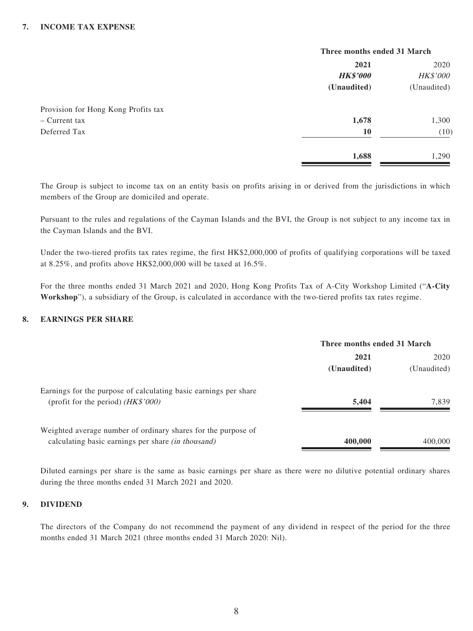#### **7. INCOME TAX EXPENSE**

|                                     |                 | Three months ended 31 March |  |
|-------------------------------------|-----------------|-----------------------------|--|
|                                     | 2021            | 2020                        |  |
|                                     | <b>HK\$'000</b> | <b>HK\$'000</b>             |  |
|                                     | (Unaudited)     | (Unaudited)                 |  |
| Provision for Hong Kong Profits tax |                 |                             |  |
| - Current tax                       | 1,678           | 1,300                       |  |
| Deferred Tax                        | 10              | (10)                        |  |
|                                     | 1,688           | 1,290                       |  |

The Group is subject to income tax on an entity basis on profits arising in or derived from the jurisdictions in which members of the Group are domiciled and operate.

Pursuant to the rules and regulations of the Cayman Islands and the BVI, the Group is not subject to any income tax in the Cayman Islands and the BVI.

Under the two-tiered profits tax rates regime, the first HK\$2,000,000 of profits of qualifying corporations will be taxed at 8.25%, and profits above HK\$2,000,000 will be taxed at 16.5%.

For the three months ended 31 March 2021 and 2020, Hong Kong Profits Tax of A-City Workshop Limited ("**A-City Workshop**"), a subsidiary of the Group, is calculated in accordance with the two-tiered profits tax rates regime.

#### **8. EARNINGS PER SHARE**

|                                                                                                                            | Three months ended 31 March |             |
|----------------------------------------------------------------------------------------------------------------------------|-----------------------------|-------------|
|                                                                                                                            | 2021                        |             |
|                                                                                                                            | (Unaudited)                 | (Unaudited) |
| Earnings for the purpose of calculating basic earnings per share<br>(profit for the period) $(HK$'000)$                    | 5,404                       | 7.839       |
| Weighted average number of ordinary shares for the purpose of<br>calculating basic earnings per share <i>(in thousand)</i> | 400,000                     | 400,000     |

Diluted earnings per share is the same as basic earnings per share as there were no dilutive potential ordinary shares during the three months ended 31 March 2021 and 2020.

#### **9. DIVIDEND**

The directors of the Company do not recommend the payment of any dividend in respect of the period for the three months ended 31 March 2021 (three months ended 31 March 2020: Nil).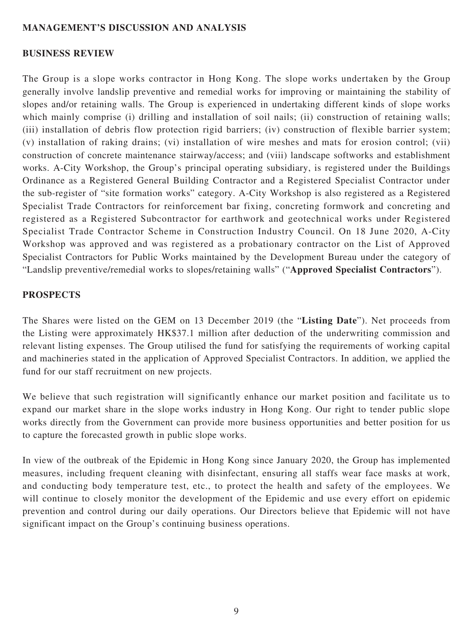#### **MANAGEMENT'S DISCUSSION AND ANALYSIS**

#### **BUSINESS REVIEW**

The Group is a slope works contractor in Hong Kong. The slope works undertaken by the Group generally involve landslip preventive and remedial works for improving or maintaining the stability of slopes and/or retaining walls. The Group is experienced in undertaking different kinds of slope works which mainly comprise (i) drilling and installation of soil nails; (ii) construction of retaining walls; (iii) installation of debris flow protection rigid barriers; (iv) construction of flexible barrier system; (v) installation of raking drains; (vi) installation of wire meshes and mats for erosion control; (vii) construction of concrete maintenance stairway/access; and (viii) landscape softworks and establishment works. A-City Workshop, the Group's principal operating subsidiary, is registered under the Buildings Ordinance as a Registered General Building Contractor and a Registered Specialist Contractor under the sub-register of "site formation works" category. A-City Workshop is also registered as a Registered Specialist Trade Contractors for reinforcement bar fixing, concreting formwork and concreting and registered as a Registered Subcontractor for earthwork and geotechnical works under Registered Specialist Trade Contractor Scheme in Construction Industry Council. On 18 June 2020, A-City Workshop was approved and was registered as a probationary contractor on the List of Approved Specialist Contractors for Public Works maintained by the Development Bureau under the category of "Landslip preventive/remedial works to slopes/retaining walls" ("**Approved Specialist Contractors**").

#### **PROSPECTS**

The Shares were listed on the GEM on 13 December 2019 (the "**Listing Date**"). Net proceeds from the Listing were approximately HK\$37.1 million after deduction of the underwriting commission and relevant listing expenses. The Group utilised the fund for satisfying the requirements of working capital and machineries stated in the application of Approved Specialist Contractors. In addition, we applied the fund for our staff recruitment on new projects.

We believe that such registration will significantly enhance our market position and facilitate us to expand our market share in the slope works industry in Hong Kong. Our right to tender public slope works directly from the Government can provide more business opportunities and better position for us to capture the forecasted growth in public slope works.

In view of the outbreak of the Epidemic in Hong Kong since January 2020, the Group has implemented measures, including frequent cleaning with disinfectant, ensuring all staffs wear face masks at work, and conducting body temperature test, etc., to protect the health and safety of the employees. We will continue to closely monitor the development of the Epidemic and use every effort on epidemic prevention and control during our daily operations. Our Directors believe that Epidemic will not have significant impact on the Group's continuing business operations.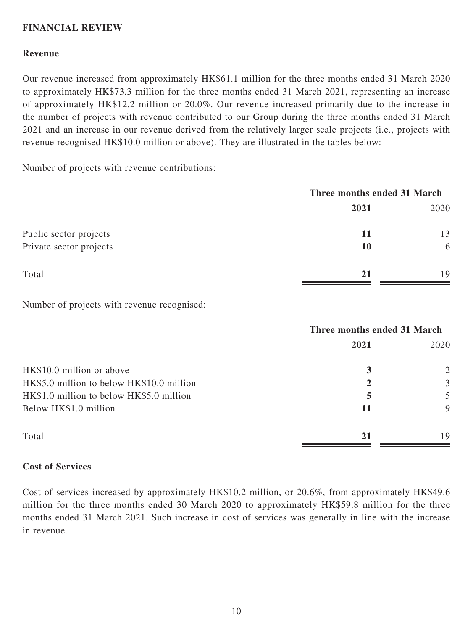#### **FINANCIAL REVIEW**

#### **Revenue**

Our revenue increased from approximately HK\$61.1 million for the three months ended 31 March 2020 to approximately HK\$73.3 million for the three months ended 31 March 2021, representing an increase of approximately HK\$12.2 million or 20.0%. Our revenue increased primarily due to the increase in the number of projects with revenue contributed to our Group during the three months ended 31 March 2021 and an increase in our revenue derived from the relatively larger scale projects (i.e., projects with revenue recognised HK\$10.0 million or above). They are illustrated in the tables below:

Number of projects with revenue contributions:

|                         | Three months ended 31 March |      |  |
|-------------------------|-----------------------------|------|--|
|                         | 2021                        | 2020 |  |
| Public sector projects  | 11                          | 13   |  |
| Private sector projects | 10                          | 6    |  |
| Total                   | 21                          | 19   |  |

Number of projects with revenue recognised:

|                                           | Three months ended 31 March |      |  |
|-------------------------------------------|-----------------------------|------|--|
|                                           | 2021                        | 2020 |  |
| HK\$10.0 million or above                 | 3                           | 2    |  |
| HK\$5.0 million to below HK\$10.0 million | 2                           | 3    |  |
| HK\$1.0 million to below HK\$5.0 million  | 5                           | 5    |  |
| Below HK\$1.0 million                     | 11                          | 9    |  |
| Total                                     | 21                          | 19   |  |

#### **Cost of Services**

Cost of services increased by approximately HK\$10.2 million, or 20.6%, from approximately HK\$49.6 million for the three months ended 30 March 2020 to approximately HK\$59.8 million for the three months ended 31 March 2021. Such increase in cost of services was generally in line with the increase in revenue.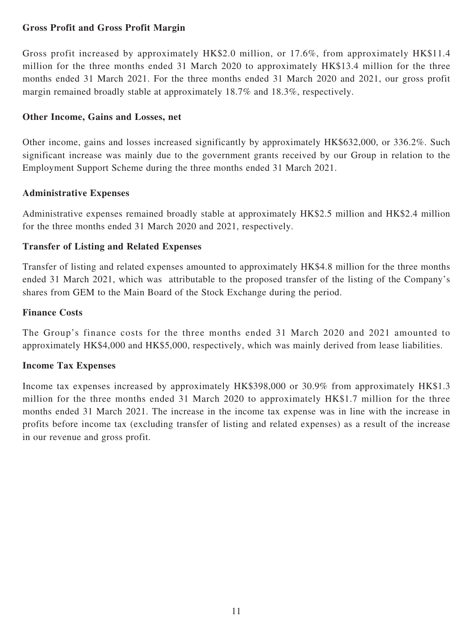## **Gross Profit and Gross Profit Margin**

Gross profit increased by approximately HK\$2.0 million, or 17.6%, from approximately HK\$11.4 million for the three months ended 31 March 2020 to approximately HK\$13.4 million for the three months ended 31 March 2021. For the three months ended 31 March 2020 and 2021, our gross profit margin remained broadly stable at approximately 18.7% and 18.3%, respectively.

## **Other Income, Gains and Losses, net**

Other income, gains and losses increased significantly by approximately HK\$632,000, or 336.2%. Such significant increase was mainly due to the government grants received by our Group in relation to the Employment Support Scheme during the three months ended 31 March 2021.

#### **Administrative Expenses**

Administrative expenses remained broadly stable at approximately HK\$2.5 million and HK\$2.4 million for the three months ended 31 March 2020 and 2021, respectively.

## **Transfer of Listing and Related Expenses**

Transfer of listing and related expenses amounted to approximately HK\$4.8 million for the three months ended 31 March 2021, which was attributable to the proposed transfer of the listing of the Company's shares from GEM to the Main Board of the Stock Exchange during the period.

## **Finance Costs**

The Group's finance costs for the three months ended 31 March 2020 and 2021 amounted to approximately HK\$4,000 and HK\$5,000, respectively, which was mainly derived from lease liabilities.

#### **Income Tax Expenses**

Income tax expenses increased by approximately HK\$398,000 or 30.9% from approximately HK\$1.3 million for the three months ended 31 March 2020 to approximately HK\$1.7 million for the three months ended 31 March 2021. The increase in the income tax expense was in line with the increase in profits before income tax (excluding transfer of listing and related expenses) as a result of the increase in our revenue and gross profit.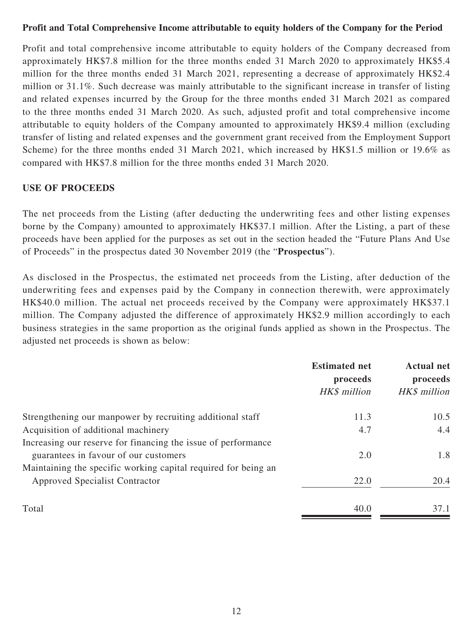#### **Profit and Total Comprehensive Income attributable to equity holders of the Company for the Period**

Profit and total comprehensive income attributable to equity holders of the Company decreased from approximately HK\$7.8 million for the three months ended 31 March 2020 to approximately HK\$5.4 million for the three months ended 31 March 2021, representing a decrease of approximately HK\$2.4 million or 31.1%. Such decrease was mainly attributable to the significant increase in transfer of listing and related expenses incurred by the Group for the three months ended 31 March 2021 as compared to the three months ended 31 March 2020. As such, adjusted profit and total comprehensive income attributable to equity holders of the Company amounted to approximately HK\$9.4 million (excluding transfer of listing and related expenses and the government grant received from the Employment Support Scheme) for the three months ended 31 March 2021, which increased by HK\$1.5 million or 19.6% as compared with HK\$7.8 million for the three months ended 31 March 2020.

#### **USE OF PROCEEDS**

The net proceeds from the Listing (after deducting the underwriting fees and other listing expenses borne by the Company) amounted to approximately HK\$37.1 million. After the Listing, a part of these proceeds have been applied for the purposes as set out in the section headed the "Future Plans And Use of Proceeds" in the prospectus dated 30 November 2019 (the "**Prospectus**").

As disclosed in the Prospectus, the estimated net proceeds from the Listing, after deduction of the underwriting fees and expenses paid by the Company in connection therewith, were approximately HK\$40.0 million. The actual net proceeds received by the Company were approximately HK\$37.1 million. The Company adjusted the difference of approximately HK\$2.9 million accordingly to each business strategies in the same proportion as the original funds applied as shown in the Prospectus. The adjusted net proceeds is shown as below:

|                                                                | <b>Estimated net</b><br>proceeds<br>HK\$ million | <b>Actual net</b><br>proceeds<br>HK\$ million |
|----------------------------------------------------------------|--------------------------------------------------|-----------------------------------------------|
| Strengthening our manpower by recruiting additional staff      | 11.3                                             | 10.5                                          |
| Acquisition of additional machinery                            | 4.7                                              | 4.4                                           |
| Increasing our reserve for financing the issue of performance  |                                                  |                                               |
| guarantees in favour of our customers                          | 2.0                                              | 1.8                                           |
| Maintaining the specific working capital required for being an |                                                  |                                               |
| Approved Specialist Contractor                                 | 22.0                                             | 20.4                                          |
| Total                                                          | 40.0                                             | 37.1                                          |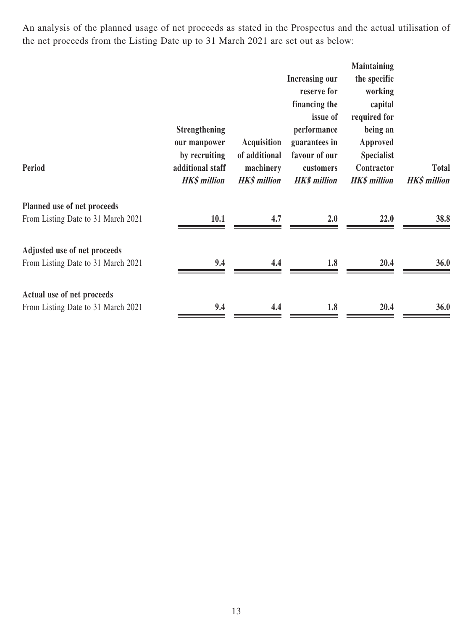An analysis of the planned usage of net proceeds as stated in the Prospectus and the actual utilisation of the net proceeds from the Listing Date up to 31 March 2021 are set out as below:

|                                                                    | <b>Strengthening</b><br>our manpower                     | <b>Acquisition</b>                                | <b>Increasing our</b><br>reserve for<br>financing the<br>issue of<br>performance<br>guarantees in | <b>Maintaining</b><br>the specific<br>working<br>capital<br>required for<br>being an<br>Approved |                                     |
|--------------------------------------------------------------------|----------------------------------------------------------|---------------------------------------------------|---------------------------------------------------------------------------------------------------|--------------------------------------------------------------------------------------------------|-------------------------------------|
| Period                                                             | by recruiting<br>additional staff<br><b>HK\$</b> million | of additional<br>machinery<br><b>HK\$</b> million | favour of our<br>customers<br><b>HK\$</b> million                                                 | <b>Specialist</b><br>Contractor<br><b>HK\$</b> million                                           | <b>Total</b><br><b>HK\$</b> million |
| Planned use of net proceeds<br>From Listing Date to 31 March 2021  | 10.1                                                     | 4.7                                               | 2.0                                                                                               | 22.0                                                                                             | 38.8                                |
| Adjusted use of net proceeds<br>From Listing Date to 31 March 2021 | 9.4                                                      | 4.4                                               | 1.8                                                                                               | 20.4                                                                                             | <b>36.0</b>                         |
| Actual use of net proceeds<br>From Listing Date to 31 March 2021   | 9.4                                                      | 4.4                                               | 1.8                                                                                               | 20.4                                                                                             | <b>36.0</b>                         |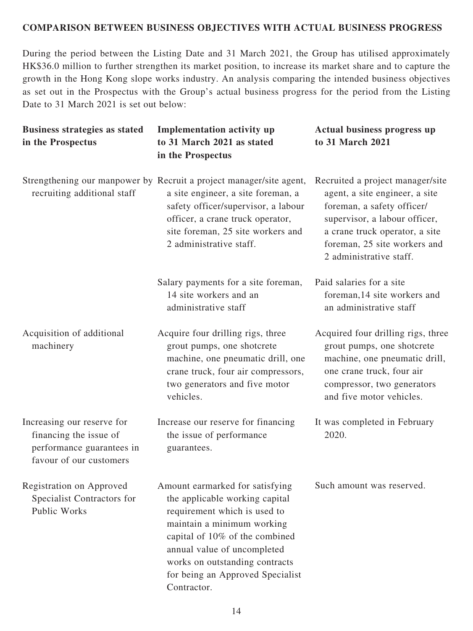#### **COMPARISON BETWEEN BUSINESS OBJECTIVES WITH ACTUAL BUSINESS PROGRESS**

During the period between the Listing Date and 31 March 2021, the Group has utilised approximately HK\$36.0 million to further strengthen its market position, to increase its market share and to capture the growth in the Hong Kong slope works industry. An analysis comparing the intended business objectives as set out in the Prospectus with the Group's actual business progress for the period from the Listing Date to 31 March 2021 is set out below:

| <b>Business strategies as stated</b><br>in the Prospectus                                                    | <b>Implementation activity up</b><br>to 31 March 2021 as stated<br>in the Prospectus                                                                                                                                                                                                  | Actual business progress up<br>to 31 March 2021                                                                                                                                                                                |
|--------------------------------------------------------------------------------------------------------------|---------------------------------------------------------------------------------------------------------------------------------------------------------------------------------------------------------------------------------------------------------------------------------------|--------------------------------------------------------------------------------------------------------------------------------------------------------------------------------------------------------------------------------|
| recruiting additional staff                                                                                  | Strengthening our manpower by Recruit a project manager/site agent,<br>a site engineer, a site foreman, a<br>safety officer/supervisor, a labour<br>officer, a crane truck operator,<br>site foreman, 25 site workers and<br>2 administrative staff.                                  | Recruited a project manager/site<br>agent, a site engineer, a site<br>foreman, a safety officer/<br>supervisor, a labour officer,<br>a crane truck operator, a site<br>foreman, 25 site workers and<br>2 administrative staff. |
|                                                                                                              | Salary payments for a site foreman,<br>14 site workers and an<br>administrative staff                                                                                                                                                                                                 | Paid salaries for a site<br>foreman, 14 site workers and<br>an administrative staff                                                                                                                                            |
| Acquisition of additional<br>machinery                                                                       | Acquire four drilling rigs, three<br>grout pumps, one shotcrete<br>machine, one pneumatic drill, one<br>crane truck, four air compressors,<br>two generators and five motor<br>vehicles.                                                                                              | Acquired four drilling rigs, three<br>grout pumps, one shotcrete<br>machine, one pneumatic drill,<br>one crane truck, four air<br>compressor, two generators<br>and five motor vehicles.                                       |
| Increasing our reserve for<br>financing the issue of<br>performance guarantees in<br>favour of our customers | Increase our reserve for financing<br>the issue of performance<br>guarantees.                                                                                                                                                                                                         | It was completed in February<br>2020.                                                                                                                                                                                          |
| Registration on Approved<br>Specialist Contractors for<br>Public Works                                       | Amount earmarked for satisfying<br>the applicable working capital<br>requirement which is used to<br>maintain a minimum working<br>capital of 10% of the combined<br>annual value of uncompleted<br>works on outstanding contracts<br>for being an Approved Specialist<br>Contractor. | Such amount was reserved.                                                                                                                                                                                                      |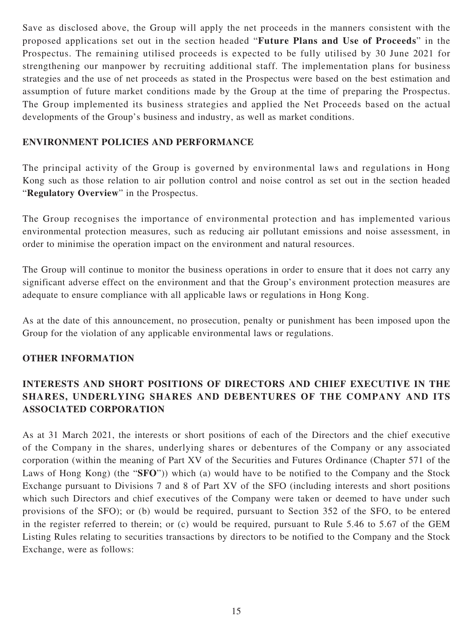Save as disclosed above, the Group will apply the net proceeds in the manners consistent with the proposed applications set out in the section headed "**Future Plans and Use of Proceeds**" in the Prospectus. The remaining utilised proceeds is expected to be fully utilised by 30 June 2021 for strengthening our manpower by recruiting additional staff. The implementation plans for business strategies and the use of net proceeds as stated in the Prospectus were based on the best estimation and assumption of future market conditions made by the Group at the time of preparing the Prospectus. The Group implemented its business strategies and applied the Net Proceeds based on the actual developments of the Group's business and industry, as well as market conditions.

## **ENVIRONMENT POLICIES AND PERFORMANCE**

The principal activity of the Group is governed by environmental laws and regulations in Hong Kong such as those relation to air pollution control and noise control as set out in the section headed "**Regulatory Overview**" in the Prospectus.

The Group recognises the importance of environmental protection and has implemented various environmental protection measures, such as reducing air pollutant emissions and noise assessment, in order to minimise the operation impact on the environment and natural resources.

The Group will continue to monitor the business operations in order to ensure that it does not carry any significant adverse effect on the environment and that the Group's environment protection measures are adequate to ensure compliance with all applicable laws or regulations in Hong Kong.

As at the date of this announcement, no prosecution, penalty or punishment has been imposed upon the Group for the violation of any applicable environmental laws or regulations.

#### **OTHER INFORMATION**

# **INTERESTS AND SHORT POSITIONS OF DIRECTORS AND CHIEF EXECUTIVE IN THE SHARES, UNDERLYING SHARES AND DEBENTURES OF THE COMPANY AND ITS ASSOCIATED CORPORATION**

As at 31 March 2021, the interests or short positions of each of the Directors and the chief executive of the Company in the shares, underlying shares or debentures of the Company or any associated corporation (within the meaning of Part XV of the Securities and Futures Ordinance (Chapter 571 of the Laws of Hong Kong) (the "**SFO**")) which (a) would have to be notified to the Company and the Stock Exchange pursuant to Divisions 7 and 8 of Part XV of the SFO (including interests and short positions which such Directors and chief executives of the Company were taken or deemed to have under such provisions of the SFO); or (b) would be required, pursuant to Section 352 of the SFO, to be entered in the register referred to therein; or (c) would be required, pursuant to Rule 5.46 to 5.67 of the GEM Listing Rules relating to securities transactions by directors to be notified to the Company and the Stock Exchange, were as follows: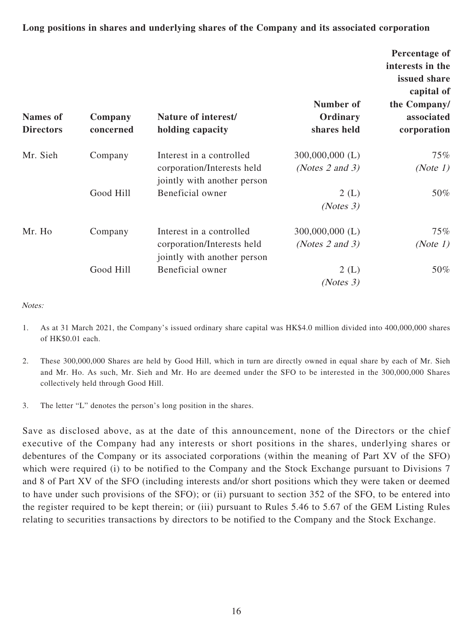**Long positions in shares and underlying shares of the Company and its associated corporation**

| <b>Names</b> of<br><b>Directors</b> | Company<br>concerned                                                                             | Nature of interest/<br>holding capacity                                               | Number of<br>Ordinary<br>shares held      | Percentage of<br>interests in the<br>issued share<br>capital of<br>the Company/<br>associated<br>corporation |
|-------------------------------------|--------------------------------------------------------------------------------------------------|---------------------------------------------------------------------------------------|-------------------------------------------|--------------------------------------------------------------------------------------------------------------|
| Mr. Sieh                            | Company                                                                                          | Interest in a controlled<br>corporation/Interests held<br>jointly with another person | $300,000,000$ (L)<br>(Notes $2$ and $3$ ) | 75%<br>(Note $1$ )                                                                                           |
|                                     | Good Hill                                                                                        | Beneficial owner                                                                      | 2(L)<br>(Notes 3)                         | 50%                                                                                                          |
| Mr. Ho                              | Interest in a controlled<br>Company<br>corporation/Interests held<br>jointly with another person | $300,000,000$ (L)<br>(Notes $2$ and $3$ )                                             | 75%<br>(Note 1)                           |                                                                                                              |
|                                     | Good Hill                                                                                        | Beneficial owner                                                                      | 2(L)<br>(Notes 3)                         | 50%                                                                                                          |

Notes:

- 1. As at 31 March 2021, the Company's issued ordinary share capital was HK\$4.0 million divided into 400,000,000 shares of HK\$0.01 each.
- 2. These 300,000,000 Shares are held by Good Hill, which in turn are directly owned in equal share by each of Mr. Sieh and Mr. Ho. As such, Mr. Sieh and Mr. Ho are deemed under the SFO to be interested in the 300,000,000 Shares collectively held through Good Hill.
- 3. The letter "L" denotes the person's long position in the shares.

Save as disclosed above, as at the date of this announcement, none of the Directors or the chief executive of the Company had any interests or short positions in the shares, underlying shares or debentures of the Company or its associated corporations (within the meaning of Part XV of the SFO) which were required (i) to be notified to the Company and the Stock Exchange pursuant to Divisions 7 and 8 of Part XV of the SFO (including interests and/or short positions which they were taken or deemed to have under such provisions of the SFO); or (ii) pursuant to section 352 of the SFO, to be entered into the register required to be kept therein; or (iii) pursuant to Rules 5.46 to 5.67 of the GEM Listing Rules relating to securities transactions by directors to be notified to the Company and the Stock Exchange.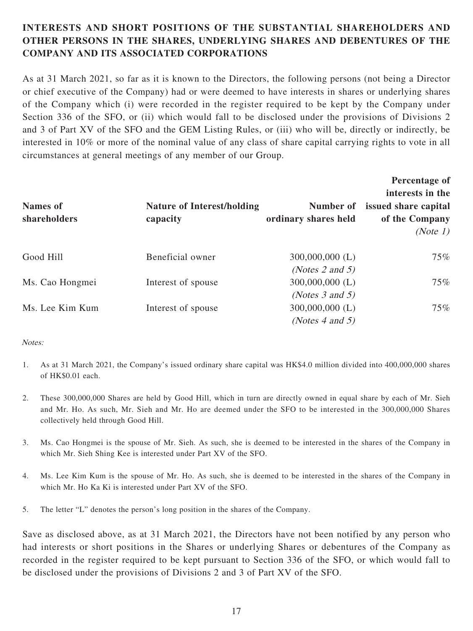# **INTERESTS AND SHORT POSITIONS OF THE SUBSTANTIAL SHAREHOLDERS AND OTHER PERSONS IN THE SHARES, UNDERLYING SHARES AND DEBENTURES OF THE COMPANY AND ITS ASSOCIATED CORPORATIONS**

As at 31 March 2021, so far as it is known to the Directors, the following persons (not being a Director or chief executive of the Company) had or were deemed to have interests in shares or underlying shares of the Company which (i) were recorded in the register required to be kept by the Company under Section 336 of the SFO, or (ii) which would fall to be disclosed under the provisions of Divisions 2 and 3 of Part XV of the SFO and the GEM Listing Rules, or (iii) who will be, directly or indirectly, be interested in 10% or more of the nominal value of any class of share capital carrying rights to vote in all circumstances at general meetings of any member of our Group.

| <b>Names of</b><br>shareholders | <b>Nature of Interest/holding</b><br>capacity | Number of<br>ordinary shares held | Percentage of<br>interests in the<br>issued share capital<br>of the Company<br>(Note 1) |
|---------------------------------|-----------------------------------------------|-----------------------------------|-----------------------------------------------------------------------------------------|
| Good Hill                       | Beneficial owner                              | $300,000,000$ (L)                 | $75\%$                                                                                  |
|                                 |                                               | (Notes 2 and 5)                   |                                                                                         |
| Ms. Cao Hongmei                 | Interest of spouse                            | $300,000,000$ (L)                 | $75\%$                                                                                  |
|                                 |                                               | (Notes $3$ and $5$ )              |                                                                                         |
| Ms. Lee Kim Kum                 | Interest of spouse                            | $300,000,000$ (L)                 | $75\%$                                                                                  |
|                                 |                                               | (Notes 4 and 5)                   |                                                                                         |

#### Notes:

- 1. As at 31 March 2021, the Company's issued ordinary share capital was HK\$4.0 million divided into 400,000,000 shares of HK\$0.01 each.
- 2. These 300,000,000 Shares are held by Good Hill, which in turn are directly owned in equal share by each of Mr. Sieh and Mr. Ho. As such, Mr. Sieh and Mr. Ho are deemed under the SFO to be interested in the 300,000,000 Shares collectively held through Good Hill.
- 3. Ms. Cao Hongmei is the spouse of Mr. Sieh. As such, she is deemed to be interested in the shares of the Company in which Mr. Sieh Shing Kee is interested under Part XV of the SFO.
- 4. Ms. Lee Kim Kum is the spouse of Mr. Ho. As such, she is deemed to be interested in the shares of the Company in which Mr. Ho Ka Ki is interested under Part XV of the SFO.
- 5. The letter "L" denotes the person's long position in the shares of the Company.

Save as disclosed above, as at 31 March 2021, the Directors have not been notified by any person who had interests or short positions in the Shares or underlying Shares or debentures of the Company as recorded in the register required to be kept pursuant to Section 336 of the SFO, or which would fall to be disclosed under the provisions of Divisions 2 and 3 of Part XV of the SFO.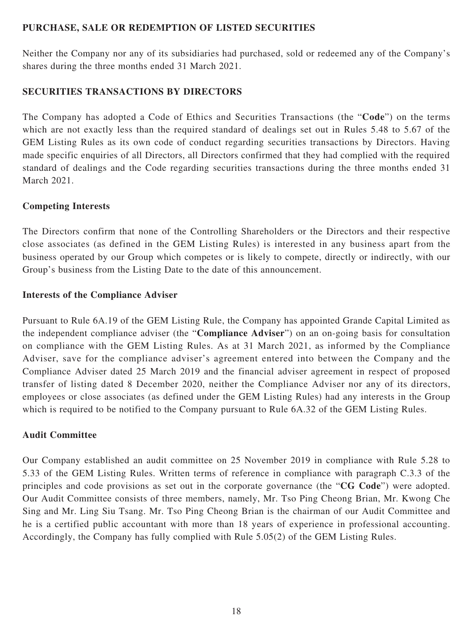## **PURCHASE, SALE OR REDEMPTION OF LISTED SECURITIES**

Neither the Company nor any of its subsidiaries had purchased, sold or redeemed any of the Company's shares during the three months ended 31 March 2021.

## **SECURITIES TRANSACTIONS BY DIRECTORS**

The Company has adopted a Code of Ethics and Securities Transactions (the "**Code**") on the terms which are not exactly less than the required standard of dealings set out in Rules 5.48 to 5.67 of the GEM Listing Rules as its own code of conduct regarding securities transactions by Directors. Having made specific enquiries of all Directors, all Directors confirmed that they had complied with the required standard of dealings and the Code regarding securities transactions during the three months ended 31 March 2021.

# **Competing Interests**

The Directors confirm that none of the Controlling Shareholders or the Directors and their respective close associates (as defined in the GEM Listing Rules) is interested in any business apart from the business operated by our Group which competes or is likely to compete, directly or indirectly, with our Group's business from the Listing Date to the date of this announcement.

## **Interests of the Compliance Adviser**

Pursuant to Rule 6A.19 of the GEM Listing Rule, the Company has appointed Grande Capital Limited as the independent compliance adviser (the "**Compliance Adviser**") on an on-going basis for consultation on compliance with the GEM Listing Rules. As at 31 March 2021, as informed by the Compliance Adviser, save for the compliance adviser's agreement entered into between the Company and the Compliance Adviser dated 25 March 2019 and the financial adviser agreement in respect of proposed transfer of listing dated 8 December 2020, neither the Compliance Adviser nor any of its directors, employees or close associates (as defined under the GEM Listing Rules) had any interests in the Group which is required to be notified to the Company pursuant to Rule 6A.32 of the GEM Listing Rules.

#### **Audit Committee**

Our Company established an audit committee on 25 November 2019 in compliance with Rule 5.28 to 5.33 of the GEM Listing Rules. Written terms of reference in compliance with paragraph C.3.3 of the principles and code provisions as set out in the corporate governance (the "**CG Code**") were adopted. Our Audit Committee consists of three members, namely, Mr. Tso Ping Cheong Brian, Mr. Kwong Che Sing and Mr. Ling Siu Tsang. Mr. Tso Ping Cheong Brian is the chairman of our Audit Committee and he is a certified public accountant with more than 18 years of experience in professional accounting. Accordingly, the Company has fully complied with Rule 5.05(2) of the GEM Listing Rules.